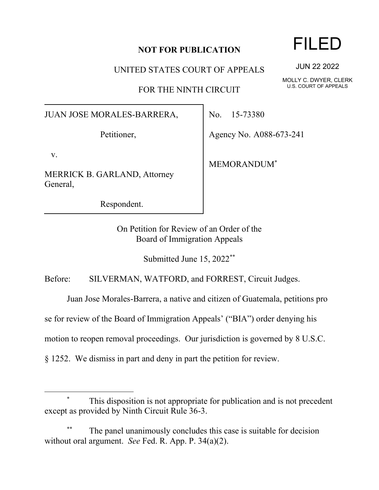## **NOT FOR PUBLICATION**

UNITED STATES COURT OF APPEALS

FOR THE NINTH CIRCUIT

JUAN JOSE MORALES-BARRERA,

Petitioner,

v.

MERRICK B. GARLAND, Attorney General,

Respondent.

No. 15-73380

Agency No. A088-673-241

MEMORANDUM\*

On Petition for Review of an Order of the Board of Immigration Appeals

Submitted June 15, 2022\*\*

Before: SILVERMAN, WATFORD, and FORREST, Circuit Judges.

Juan Jose Morales-Barrera, a native and citizen of Guatemala, petitions pro

se for review of the Board of Immigration Appeals' ("BIA") order denying his

motion to reopen removal proceedings. Our jurisdiction is governed by 8 U.S.C.

§ 1252. We dismiss in part and deny in part the petition for review.

## This disposition is not appropriate for publication and is not precedent except as provided by Ninth Circuit Rule 36-3.

The panel unanimously concludes this case is suitable for decision without oral argument. *See* Fed. R. App. P. 34(a)(2).

## FILED

JUN 22 2022

MOLLY C. DWYER, CLERK U.S. COURT OF APPEALS